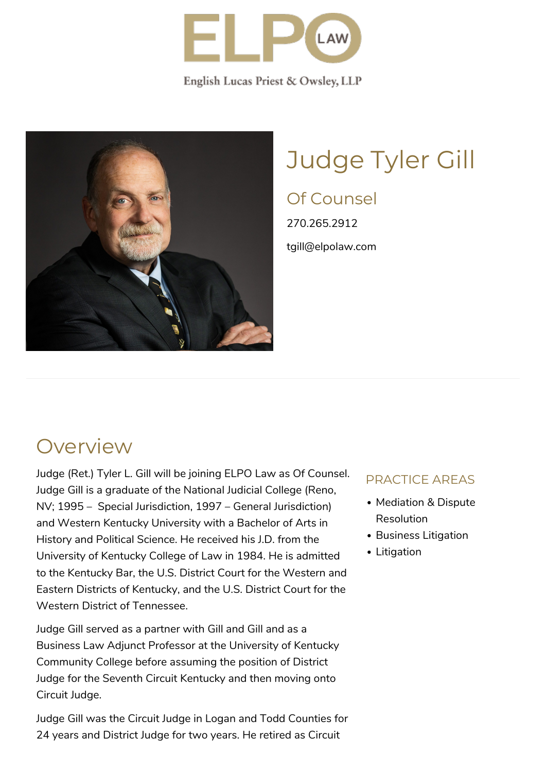

English Lucas Priest & Owsley, LLP



# Judge Tyler Gill

### Of Counsel

270.265.2912 tgill@elpolaw.com

### **Overview**

Judge (Ret.) Tyler L. Gill will be joining ELPO Law as Of Counsel. Judge Gill is a graduate of the National Judicial College (Reno, NV; 1995 – Special Jurisdiction, 1997 – General Jurisdiction) and Western Kentucky University with a Bachelor of Arts in History and Political Science. He received his J.D. from the University of Kentucky College of Law in 1984. He is admitted to the Kentucky Bar, the U.S. District Court for the Western and Eastern Districts of Kentucky, and the U.S. District Court for the Western District of Tennessee.

Judge Gill served as a partner with Gill and Gill and as a Business Law Adjunct Professor at the University of Kentucky Community College before assuming the position of District Judge for the Seventh Circuit Kentucky and then moving onto Circuit Judge.

Judge Gill was the Circuit Judge in Logan and Todd Counties for 24 years and District Judge for two years. He retired as Circuit

#### PRACTICE AREAS

- Mediation & Dispute **Resolution**
- Business Litigation
- Litigation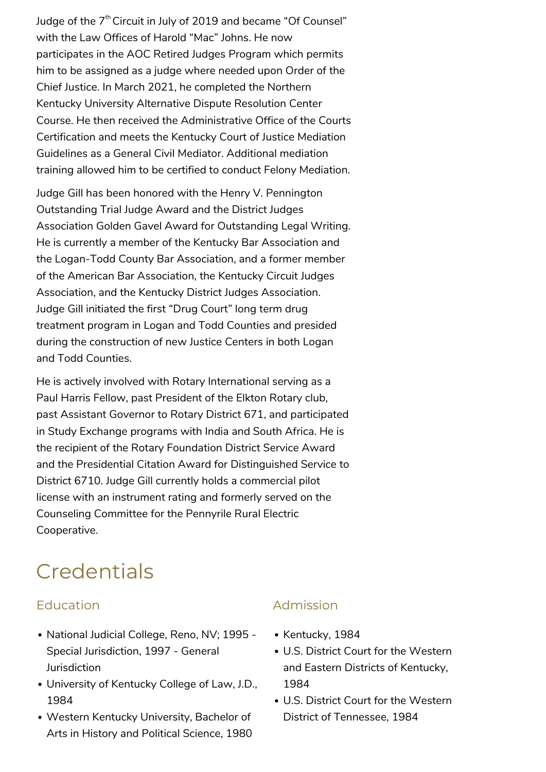Judge of the  $7<sup>th</sup>$  Circuit in July of 2019 and became "Of Counsel" with the Law Offices of Harold "Mac" Johns. He now participates in the AOC Retired Judges Program which permits him to be assigned as a judge where needed upon Order of the Chief Justice. In March 2021, he completed the Northern Kentucky University Alternative Dispute Resolution Center Course. He then received the Administrative Office of the Courts Certification and meets the Kentucky Court of Justice Mediation Guidelines as a General Civil Mediator. Additional mediation training allowed him to be certified to conduct Felony Mediation.

Judge Gill has been honored with the Henry V. Pennington Outstanding Trial Judge Award and the District Judges Association Golden Gavel Award for Outstanding Legal Writing. He is currently a member of the Kentucky Bar Association and the Logan-Todd County Bar Association, and a former member of the American Bar Association, the Kentucky Circuit Judges Association, and the Kentucky District Judges Association. Judge Gill initiated the first "Drug Court" long term drug treatment program in Logan and Todd Counties and presided during the construction of new Justice Centers in both Logan and Todd Counties.

He is actively involved with Rotary International serving as a Paul Harris Fellow, past President of the Elkton Rotary club, past Assistant Governor to Rotary District 671, and participated in Study Exchange programs with India and South Africa. He is the recipient of the Rotary Foundation District Service Award and the Presidential Citation Award for Distinguished Service to District 6710. Judge Gill currently holds a commercial pilot license with an instrument rating and formerly served on the Counseling Committee for the Pennyrile Rural Electric Cooperative.

### **Credentials**

#### Education

- National Judicial College, Reno, NV; 1995 -Special Jurisdiction, 1997 - General Jurisdiction
- [University of Kentucky College of Law,](http://www.law.uky.edu/) J.D., 1984
- [Western Kentucky University](http://www.wku.edu/), Bachelor of Arts in History and Political Science, 1980

#### Admission

- Kentucky, 1984
- U.S. District Court for the Western and Eastern Districts of Kentucky, 1984
- U.S. District Court for the Western District of Tennessee, 1984